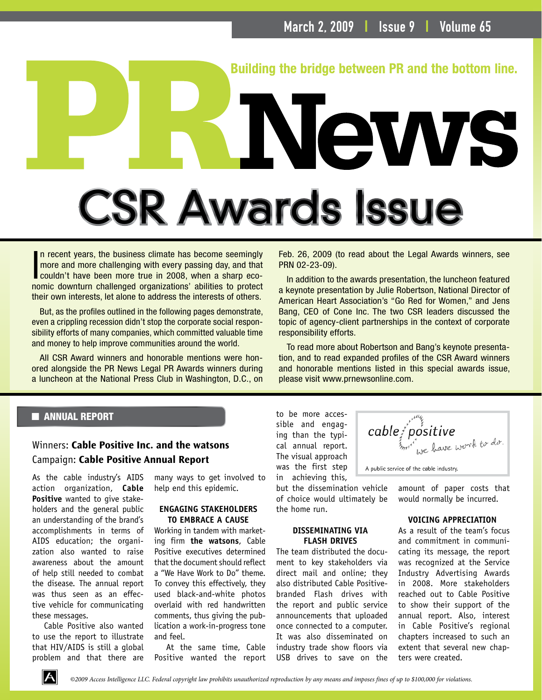# Building the bridge between PR and the bottom line. News CSR Awards Issue

In recent years, the business climate has become seemingly<br>more and more challenging with every passing day, and that<br>couldn't have been more true in 2008, when a sharp eco-<br>partie dounture obelleredd arganizational objeti n recent years, the business climate has become seemingly more and more challenging with every passing day, and that nomic downturn challenged organizations' abilities to protect their own interests, let alone to address the interests of others.

But, as the profiles outlined in the following pages demonstrate, even a crippling recession didn't stop the corporate social responsibility efforts of many companies, which committed valuable time and money to help improve communities around the world.

All CSR Award winners and honorable mentions were honored alongside the PR News Legal PR Awards winners during a luncheon at the National Press Club in Washington, D.C., on Feb. 26, 2009 (to read about the Legal Awards winners, see PRN 02-23-09).

In addition to the awards presentation, the luncheon featured a keynote presentation by Julie Robertson, National Director of American Heart Association's "Go Red for Women," and Jens Bang, CEO of Cone Inc. The two CSR leaders discussed the topic of agency-client partnerships in the context of corporate responsibility efforts.

To read more about Robertson and Bang's keynote presentation, and to read expanded profiles of the CSR Award winners and honorable mentions listed in this special awards issue, please visit [www.prnewsonline.com.](www.prnewsonline.com)

# ■ ANNUAL REPORT

# Winners: **Cable Positive Inc. and the watsons** Campaign: **Cable Positive Annual Report**

As the cable industry's AIDS action organization, **Cable Positive** wanted to give stakeholders and the general public an understanding of the brand's accomplishments in terms of AIDS education; the organization also wanted to raise awareness about the amount of help still needed to combat the disease. The annual report was thus seen as an effective vehicle for communicating these messages.

Cable Positive also wanted to use the report to illustrate that HIV/AIDS is still a global problem and that there are

many ways to get involved to help end this epidemic.

### **ENGAGING STAKEHOLDERS TO EMBRACE A CAUSE**

Working in tandem with marketing firm **the watsons**, Cable Positive executives determined that the document should reflect a "We Have Work to Do" theme. To convey this effectively, they used black-and-white photos overlaid with red handwritten comments, thus giving the publication a work-in-progress tone and feel.

At the same time, Cable Positive wanted the report

to be more accessible and engaging than the typical annual report. The visual approach was the first step in achieving this,

but the dissemination vehicle of choice would ultimately be the home run.

### **DISSEMINATING VIA FLASH DRIVES**

The team distributed the document to key stakeholders via direct mail and online; they also distributed Cable Positivebranded Flash drives with the report and public service announcements that uploaded once connected to a computer. It was also disseminated on industry trade show floors via USB drives to save on the

cable positive<br> $\frac{1}{2}$  in the have work to do.

A public service of the cable industry.

amount of paper costs that would normally be incurred.

## **VOICING APPRECIATION**

As a result of the team's focus and commitment in communicating its message, the report was recognized at the Service Industry Advertising Awards in 2008. More stakeholders reached out to Cable Positive to show their support of the annual report. Also, interest in Cable Positive's regional chapters increased to such an extent that several new chapters were created.

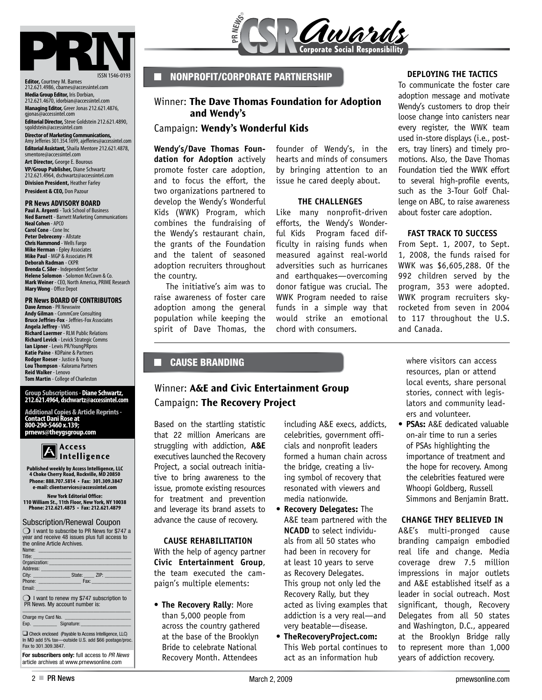

**Editor,** Courtney M. Barnes 212.621.4986, cbarnes@accessintel.com **Media Group Editor,** Iris Dorbian, 212.621.4670, idorbian@accessintel.com **Managing Editor,** Greer Jonas 212.621.4876, gjonas@accessintel.com

**Editorial Director,** Steve Goldstein 212.621.4890, sgoldstein@accessintel.com

**Director of Marketing Communications,** Amy Jefferies 301.354.1699, ajefferies@accessintel.com **Editorial Assistant,** Shaila Mentore 212.621.4878, smentore@accessintel.com **Art Director,** George E. Bourous **VP/Group Publisher,** Diane Schwartz 212.621.4964, dschwartz@accessintel.com **Division President,** Heather Farley **President & CEO,** Don Pazour

### **PR News ADVISORY BOARD**

**Paul A. Argenti** - Tuck School of Business **Ned Barnett** - Barnett Marketing Communications **Neal Cohen** - APCO **Carol Cone** - Cone Inc **Peter Debreceny** - Allstate **Chris Hammond** - Wells Fargo **Mike Herman** - Epley Associates **Mike Paul** - MGP & Associates PR **Deborah Radman** - CKPR **Brenda C. Siler** - Independent Sector **Helene Solomon** - Solomon McCown & Co. **Mark Weiner** - CEO, North America, PRIME Research **Mary Wong** - Office Depot

### **PR News BOARD OF CONTRIBUTORS**

**Dave Armon** - PR Newswire **Andy Gilman** - CommCore Consulting **Bruce Jeffries-Fox** - Jeffries-Fox Associates **Angela Jeffrey** - VMS **Richard Laermer** - RLM Public Relations **Richard Levick** - Levick Strategic Comms **Ian Lipner - Lewis PR/YoungPRpros Katie Paine** - KDPaine & Partners **Rodger Roeser** - Justice & Young **Lou Thompson** - Kalorama Partners **Reid Walker** - Lenovo **Tom Martin** - College of Charleston

**Group Subscriptions - Diane Schwartz, 212.621.4964, dschwartz@accessintel.com**

**Additional Copies & Article Reprints - Contact Dani Rose at 800-290-5460 x.139; prnews@theygsgroup.com**



**Published weekly by Access Intelligence, LLC 4 Choke Cherry Road, Rockville, MD 20850 Phone: 888.707.5814 • Fax: 301.309.3847 e-mail: clientservices@accessintel.com**

**New York Editorial Office: 110 William St., 11th Floor, New York, NY 10038 Phone: 212.621.4875 • Fax: 212.621.4879**

Subscription/Renewal Coupon

❍ I want to subscribe to PR News for \$747 a year and receive 48 issues plus full access to the online Article Archives.

| Name:<br><u> 1989 - John Stone, Amerikan besteht der Englisher und der Englisher und der Englisher und der Englisher und der Englisher und der Englisher und der Englisher und der Englisher und der Englisher und der Englisher und der </u> |                                 |
|-----------------------------------------------------------------------------------------------------------------------------------------------------------------------------------------------------------------------------------------------|---------------------------------|
|                                                                                                                                                                                                                                               |                                 |
| Organization: <b>www.common.common</b>                                                                                                                                                                                                        |                                 |
|                                                                                                                                                                                                                                               |                                 |
| City: <b>City:</b>                                                                                                                                                                                                                            | State: _____ ZIP: _____________ |
| <b>Phone: Contract Contract Contract Contract Contract Contract Contract Contract Contract Contract Contract Contract Contract Contract Contract Contract Contract Contract Contract Contract Contract Contract Contract Contr</b>            |                                 |
| Email: <b>Example 2008</b>                                                                                                                                                                                                                    |                                 |
|                                                                                                                                                                                                                                               |                                 |

◯ I want to renew my \$747 subscription to PR News. My account number is:

| Charge my Card No. |            |  |
|--------------------|------------|--|
| Exp.               | Signature: |  |

❑ Check enclosed (Payable to Access Intelligence, LLC) In MD add 5% tax—outside U.S. add \$66 postage/proc. Fax to 301.309.3847.

For subscribers only: full access to *PR News* article archives at www.prnewsonline.com



### NONPROFIT/CORPORATE PARTNERSHIP

Winner: **The Dave Thomas Foundation for Adoption and Wendy's** 

### Campaign: **Wendy's Wonderful Kids**

**Wendy's/Dave Thomas Foundation for Adoption** actively promote foster care adoption, and to focus the effort, the two organizations partnered to develop the Wendy's Wonderful Kids (WWK) Program, which combines the fundraising of the Wendy's restaurant chain, the grants of the Foundation and the talent of seasoned adoption recruiters throughout the country.

The initiative's aim was to raise awareness of foster care adoption among the general population while keeping the spirit of Dave Thomas, the

founder of Wendy's, in the hearts and minds of consumers by bringing attention to an issue he cared deeply about.

### **THE CHALLENGES**

Like many nonprofit-driven efforts, the Wendy's Wonderful Kids Program faced difficulty in raising funds when measured against real-world adversities such as hurricanes and earthquakes—overcoming donor fatigue was crucial. The WWK Program needed to raise funds in a simple way that would strike an emotional chord with consumers.

### **DEPLOYING THE TACTICS**

To communicate the foster care adoption message and motivate Wendy's customers to drop their loose change into canisters near every register, the WWK team used in-store displays (i.e., posters, tray liners) and timely promotions. Also, the Dave Thomas Foundation tied the WWK effort to several high-profile events, such as the 3-Tour Golf Challenge on ABC, to raise awareness about foster care adoption.

### **FAST TRACK TO SUCCESS**

From Sept. 1, 2007, to Sept. 1, 2008, the funds raised for WWK was \$6,605,288. Of the 992 children served by the program, 353 were adopted. WWK program recruiters skyrocketed from seven in 2004 to 117 throughout the U.S. and Canada.

# ■ CAUSE BRANDING

# Winner: **A&E and Civic Entertainment Group** Campaign: **The Recovery Project**

Based on the startling statistic that 22 million Americans are struggling with addiction, **A&E** executives launched the Recovery Project, a social outreach initiative to bring awareness to the issue, promote existing resources for treatment and prevention and leverage its brand assets to advance the cause of recovery.

### **CAUSE REHABILITATION**

With the help of agency partner **Civic Entertainment Group**, the team executed the campaign's multiple elements:

• **The Recovery Rally**: More than 5,000 people from across the country gathered at the base of the Brooklyn Bride to celebrate National Recovery Month. Attendees

including A&E execs, addicts, celebrities, government officials and nonprofit leaders formed a human chain across the bridge, creating a living symbol of recovery that resonated with viewers and media nationwide.

- • **Recovery Delegates:** The A&E team partnered with the **NCADD** to select individuals from all 50 states who had been in recovery for at least 10 years to serve as Recovery Delegates. This group not only led the Recovery Rally, but they acted as living examples that addiction is a very real—and very beatable—disease.
- • **TheRecoveryProject.com:**  This Web portal continues to act as an information hub

where visitors can access resources, plan or attend local events, share personal stories, connect with legislators and community leaders and volunteer.

• **PSAs:** A&E dedicated valuable on-air time to run a series of PSAs highlighting the importance of treatment and the hope for recovery. Among the celebrities featured were Whoopi Goldberg, Russell Simmons and Benjamin Bratt.

### **CHANGE THEY BELIEVED IN**

A&E's multi-pronged cause branding campaign embodied real life and change. Media coverage drew 7.5 million impressions in major outlets and A&E established itself as a leader in social outreach. Most significant, though, Recovery Delegates from all 50 states and Washington, D.C., appeared at the Brooklyn Bridge rally to represent more than 1,000 years of addiction recovery.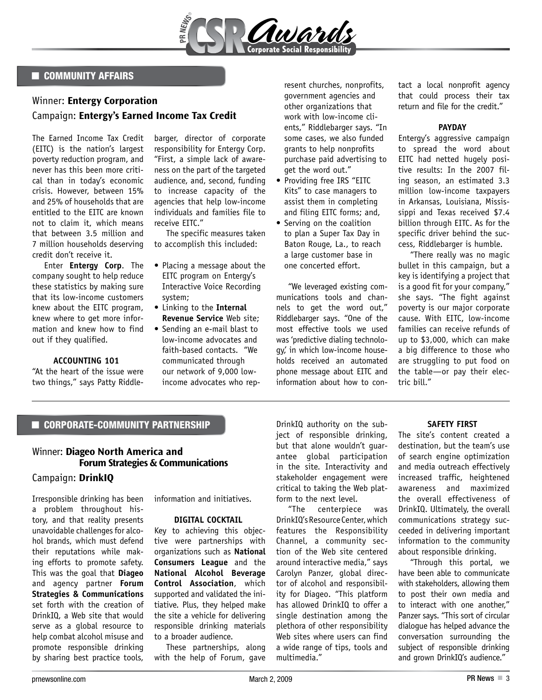

# **E** COMMUNITY AFFAIRS

# Winner: **Entergy Corporation** Campaign: **Entergy's Earned Income Tax Credit**

The Earned Income Tax Credit (EITC) is the nation's largest poverty reduction program, and never has this been more critical than in today's economic crisis. However, between 15% and 25% of households that are entitled to the EITC are known not to claim it, which means that between 3.5 million and 7 million households deserving credit don't receive it.

Enter **Entergy Corp**. The company sought to help reduce these statistics by making sure that its low-income customers knew about the EITC program, knew where to get more information and knew how to find out if they qualified.

**ACCOUNTING 101**

"At the heart of the issue were two things," says Patty Riddle-

barger, director of corporate responsibility for Entergy Corp. "First, a simple lack of awareness on the part of the targeted audience, and, second, funding to increase capacity of the agencies that help low-income individuals and families file to receive EITC."

The specific measures taken to accomplish this included:

- Placing a message about the EITC program on Entergy's Interactive Voice Recording system;
- • Linking to the **Internal Revenue Service** Web site;
- • Sending an e-mail blast to low-income advocates and faith-based contacts. "We communicated through our network of 9,000 lowincome advocates who rep-

resent churches, nonprofits, government agencies and other organizations that work with low-income clients," Riddlebarger says. "In some cases, we also funded grants to help nonprofits purchase paid advertising to get the word out."

- Providing free IRS "EITC Kits" to case managers to assist them in completing and filing EITC forms; and,
- Serving on the coalition to plan a Super Tax Day in Baton Rouge, La., to reach a large customer base in one concerted effort.

"We leveraged existing communications tools and channels to get the word out," Riddlebarger says. "One of the most effective tools we used was 'predictive dialing technology,' in which low-income households received an automated phone message about EITC and information about how to contact a local nonprofit agency that could process their tax return and file for the credit."

### **PAYDAY**

Entergy's aggressive campaign to spread the word about EITC had netted hugely positive results: In the 2007 filing season, an estimated 3.3 million low-income taxpayers in Arkansas, Louisiana, Mississippi and Texas received \$7.4 billion through EITC. As for the specific driver behind the success, Riddlebarger is humble.

"There really was no magic bullet in this campaign, but a key is identifying a project that is a good fit for your company," she says. "The fight against poverty is our major corporate cause. With EITC, low-income families can receive refunds of up to \$3,000, which can make a big difference to those who are struggling to put food on the table—or pay their electric bill."

# ■ CORPORATE-COMMUNITY PARTNERSHIP

# Winner: **Diageo North America and Forum Strategies & Communications**

# Campaign: **DrinkIQ**

Irresponsible drinking has been a problem throughout history, and that reality presents unavoidable challenges for alcohol brands, which must defend their reputations while making efforts to promote safety. This was the goal that **Diageo** and agency partner **Forum Strategies & Communications** set forth with the creation of DrinkIQ, a Web site that would serve as a global resource to help combat alcohol misuse and promote responsible drinking by sharing best practice tools, information and initiatives.

### **DIGITAL COCKTAIL**

Key to achieving this objective were partnerships with organizations such as **National Consumers League** and the **National Alcohol Beverage Control Association**, which supported and validated the initiative. Plus, they helped make the site a vehicle for delivering responsible drinking materials to a broader audience.

These partnerships, along with the help of Forum, gave

DrinkIQ authority on the subject of responsible drinking, but that alone wouldn't guarantee global participation in the site. Interactivity and stakeholder engagement were critical to taking the Web platform to the next level.

"The centerpiece was DrinkIQ's Resource Center, which features the Responsibility Channel, a community section of the Web site centered around interactive media," says Carolyn Panzer, global director of alcohol and responsibility for Diageo. "This platform has allowed DrinkIQ to offer a single destination among the plethora of other responsibility Web sites where users can find a wide range of tips, tools and multimedia."

### **SAFETY FIRST**

The site's content created a destination, but the team's use of search engine optimization and media outreach effectively increased traffic, heightened awareness and maximized the overall effectiveness of DrinkIQ. Ultimately, the overall communications strategy succeeded in delivering important information to the community about responsible drinking.

"Through this portal, we have been able to communicate with stakeholders, allowing them to post their own media and to interact with one another," Panzer says. "This sort of circular dialogue has helped advance the conversation surrounding the subject of responsible drinking and grown DrinkIQ's audience."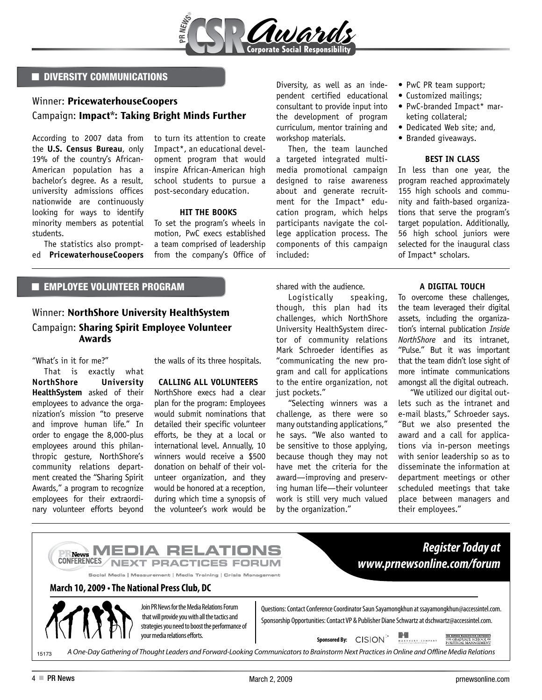

### **■ DIVERSITY COMMUNICATIONS**

Winner: **PricewaterhouseCoopers** Campaign: **Impact\*: Taking Bright Minds Further**

According to 2007 data from the **U.S. Census Bureau**, only 19% of the country's African-American population has a bachelor's degree. As a result, university admissions offices nationwide are continuously looking for ways to identify minority members as potential students.

to turn its attention to create Impact\*, an educational development program that would inspire African-American high school students to pursue a post-secondary education.

### **HIT THE BOOKS**

To set the program's wheels in motion, PwC execs established a team comprised of leadership from the company's Office of Diversity, as well as an independent certified educational consultant to provide input into the development of program curriculum, mentor training and workshop materials.

Then, the team launched a targeted integrated multimedia promotional campaign designed to raise awareness about and generate recruitment for the Impact\* education program, which helps participants navigate the college application process. The components of this campaign included:

- PwC PR team support;
- Customized mailings:
- • PwC-branded Impact\* marketing collateral;
- • Dedicated Web site; and,
- • Branded giveaways.

### **BEST IN CLASS**

In less than one year, the program reached approximately 155 high schools and community and faith-based organizations that serve the program's target population. Additionally, 56 high school juniors were selected for the inaugural class of Impact\* scholars.

The statistics also prompted **PricewaterhouseCoopers**

■ EMPLOYEE VOLUNTEER PROGRAM

### shared with the audience.

Logistically speaking, though, this plan had its challenges, which NorthShore University HealthSystem director of community relations Mark Schroeder identifies as "communicating the new program and call for applications to the entire organization, not just pockets."

"Selecting winners was a challenge, as there were so many outstanding applications," he says. "We also wanted to be sensitive to those applying, because though they may not have met the criteria for the award—improving and preserving human life—their volunteer work is still very much valued by the organization."

### **A DIGITAL TOUCH**

To overcome these challenges, the team leveraged their digital assets, including the organization's internal publication *Inside NorthShore* and its intranet, "Pulse." But it was important that the team didn't lose sight of more intimate communications amongst all the digital outreach.

"We utilized our digital outlets such as the intranet and e-mail blasts," Schroeder says. "But we also presented the award and a call for applications via in-person meetings with senior leadership so as to disseminate the information at department meetings or other scheduled meetings that take place between managers and their employees."



# Winner: **NorthShore University HealthSystem** Campaign: **Sharing Spirit Employee Volunteer Awards**

### "What's in it for me?"

That is exactly what **NorthShore University HealthSystem** asked of their employees to advance the organization's mission "to preserve and improve human life." In order to engage the 8,000-plus employees around this philanthropic gesture, NorthShore's community relations department created the "Sharing Spirit Awards," a program to recognize employees for their extraordinary volunteer efforts beyond the walls of its three hospitals.

### **CALLING ALL VOLUNTEERS**

NorthShore execs had a clear plan for the program: Employees would submit nominations that detailed their specific volunteer efforts, be they at a local or international level. Annually, 10 winners would receive a \$500 donation on behalf of their volunteer organization, and they would be honored at a reception, during which time a synopsis of the volunteer's work would be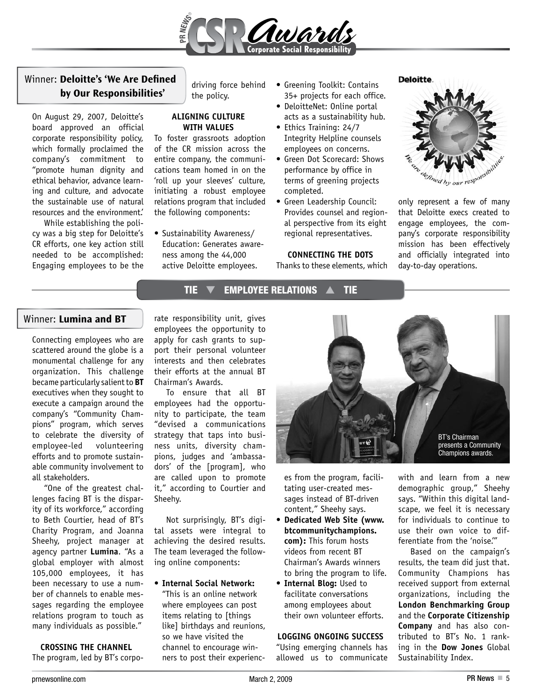

# Winner: **Deloitte's 'We Are Defined by Our Responsibilities'**

On August 29, 2007, Deloitte's board approved an official corporate responsibility policy, which formally proclaimed the company's commitment to "promote human dignity and ethical behavior, advance learning and culture, and advocate the sustainable use of natural resources and the environment.'

While establishing the policy was a big step for Deloitte's CR efforts, one key action still needed to be accomplished: Engaging employees to be the

driving force behind the policy.

### **ALIGNING CULTURE WITH VALUES**

To foster grassroots adoption of the CR mission across the entire company, the communications team homed in on the 'roll up your sleeves' culture, initiating a robust employee relations program that included the following components:

• Sustainability Awareness/ Education: Generates awareness among the 44,000 active Deloitte employees.

- • Greening Toolkit: Contains 35+ projects for each office.
- DeloitteNet: Online portal acts as a sustainability hub.
- Ethics Training: 24/7 Integrity Helpline counsels employees on concerns.
- • Green Dot Scorecard: Shows performance by office in terms of greening projects completed.
- • Green Leadership Council: Provides counsel and regional perspective from its eight regional representatives.

# **CONNECTING THE DOTS**

Thanks to these elements, which

**Deloitte** 



only represent a few of many that Deloitte execs created to engage employees, the company's corporate responsibility mission has been effectively and officially integrated into day-to-day operations.

# TIE ▼ EMPLOYEE RELATIONS ▲ TIE

### Winner: **Lumina and BT**

Connecting employees who are scattered around the globe is a monumental challenge for any organization. This challenge became particularly salient to **BT** executives when they sought to execute a campaign around the company's "Community Champions" program, which serves to celebrate the diversity of employee-led volunteering efforts and to promote sustainable community involvement to all stakeholders.

"One of the greatest challenges facing BT is the disparity of its workforce," according to Beth Courtier, head of BT's Charity Program, and Joanna Sheehy, project manager at agency partner **Lumina**. "As a global employer with almost 105,000 employees, it has been necessary to use a number of channels to enable messages regarding the employee relations program to touch as many individuals as possible."

**CROSSING THE CHANNEL**

The program, led by BT's corpo-

rate responsibility unit, gives employees the opportunity to apply for cash grants to support their personal volunteer interests and then celebrates their efforts at the annual BT Chairman's Awards.

To ensure that all BT employees had the opportunity to participate, the team "devised a communications strategy that taps into business units, diversity champions, judges and 'ambassadors' of the [program], who are called upon to promote it," according to Courtier and Sheehy.

Not surprisingly, BT's digital assets were integral to achieving the desired results. The team leveraged the following online components:

• **Internal Social Network:**  "This is an online network where employees can post items relating to [things like] birthdays and reunions, so we have visited the channel to encourage winners to post their experienc-



es from the program, facilitating user-created messages instead of BT-driven content," Sheehy says.

- • **Dedicated Web Site (www. btcommunitychampions. com):** This forum hosts videos from recent BT Chairman's Awards winners to bring the program to life.
- • **Internal Blog:** Used to facilitate conversations among employees about their own volunteer efforts.

### **LOGGING ONGOING SUCCESS**

"Using emerging channels has allowed us to communicate

with and learn from a new demographic group," Sheehy says. "Within this digital landscape, we feel it is necessary for individuals to continue to use their own voice to differentiate from the 'noise.'"

Based on the campaign's results, the team did just that. Community Champions has received support from external organizations, including the **London Benchmarking Group** and the **Corporate Citizenship Company** and has also contributed to BT's No. 1 ranking in the **Dow Jones** Global Sustainability Index.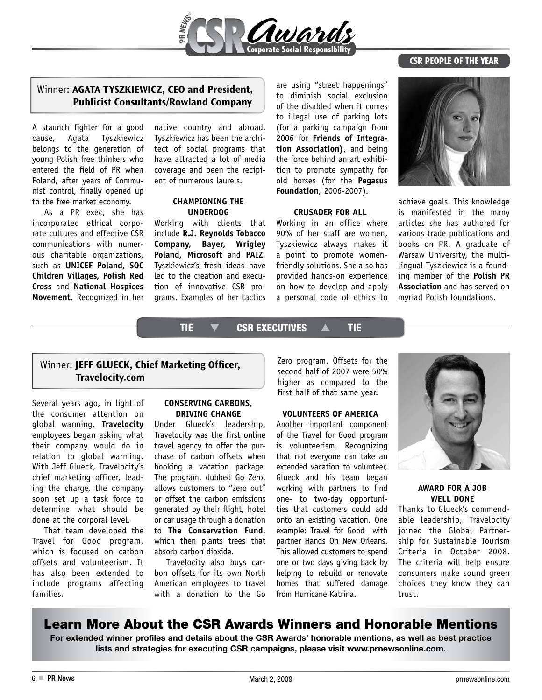

# CSR PEOPLE OF THE YEAR

# Winner: **AGATA TYSZKIEWICZ, CEO and President, Publicist Consultants/Rowland Company**

A staunch fighter for a good cause, Agata Tyszkiewicz belongs to the generation of young Polish free thinkers who entered the field of PR when Poland, after years of Communist control, finally opened up to the free market economy.

As a PR exec, she has incorporated ethical corporate cultures and effective CSR communications with numerous charitable organizations, such as **UNICEF Poland, SOC Children Villages, Polish Red Cross** and **National Hospices Movement**. Recognized in her

native country and abroad, Tyszkiewicz has been the architect of social programs that have attracted a lot of media coverage and been the recipient of numerous laurels.

### **CHAMPIONING THE UNDERDOG**

Working with clients that include **R.J. Reynolds Tobacco Company, Bayer, Wrigley Poland, Microsoft** and **PAIZ**, Tyszkiewicz's fresh ideas have led to the creation and execution of innovative CSR programs. Examples of her tactics

are using "street happenings" to diminish social exclusion of the disabled when it comes to illegal use of parking lots (for a parking campaign from 2006 for **Friends of Integration Association)**, and being the force behind an art exhibition to promote sympathy for old horses (for the **Pegasus Foundation**, 2006-2007).

### **CRUSADER FOR ALL**

Working in an office where 90% of her staff are women, Tyszkiewicz always makes it a point to promote womenfriendly solutions. She also has provided hands-on experience on how to develop and apply a personal code of ethics to



achieve goals. This knowledge is manifested in the many articles she has authored for various trade publications and books on PR. A graduate of Warsaw University, the multilingual Tyszkiewicz is a founding member of the **Polish PR Association** and has served on myriad Polish foundations.

# TIE ▼ CSR EXECUTIVES ▲ TIE

# Winner: **JEFF GLUECK, Chief Marketing Officer, Travelocity.com**

Several years ago, in light of the consumer attention on global warming, **Travelocity** employees began asking what their company would do in relation to global warming. With Jeff Glueck, Travelocity's chief marketing officer, leading the charge, the company soon set up a task force to determine what should be done at the corporal level.

That team developed the Travel for Good program, which is focused on carbon offsets and volunteerism. It has also been extended to include programs affecting families.

### **CONSERVING CARBONS, DRIVING CHANGE**

Under Glueck's leadership, Travelocity was the first online travel agency to offer the purchase of carbon offsets when booking a vacation package. The program, dubbed Go Zero, allows customers to "zero out" or offset the carbon emissions generated by their flight, hotel or car usage through a donation to **The Conservation Fund**, which then plants trees that absorb carbon dioxide.

Travelocity also buys carbon offsets for its own North American employees to travel with a donation to the Go

Zero program. Offsets for the second half of 2007 were 50% higher as compared to the first half of that same year.

### **VOLUNTEERS OF AMERICA**

Another important component of the Travel for Good program is volunteerism. Recognizing that not everyone can take an extended vacation to volunteer, Glueck and his team began working with partners to find one- to two-day opportunities that customers could add onto an existing vacation. One example: Travel for Good with partner Hands On New Orleans. This allowed customers to spend one or two days giving back by helping to rebuild or renovate homes that suffered damage from Hurricane Katrina.



### **AWARD FOR A JOB WELL DONE**

Thanks to Glueck's commendable leadership, Travelocity joined the Global Partnership for Sustainable Tourism Criteria in October 2008. The criteria will help ensure consumers make sound green choices they know they can trust.

# Learn More About the CSR Awards Winners and Honorable Mentions

For extended winner profiles and details about the CSR Awards' honorable mentions, as well as best practice lists and strategies for executing CSR campaigns, please visit<www.prnewsonline.com>.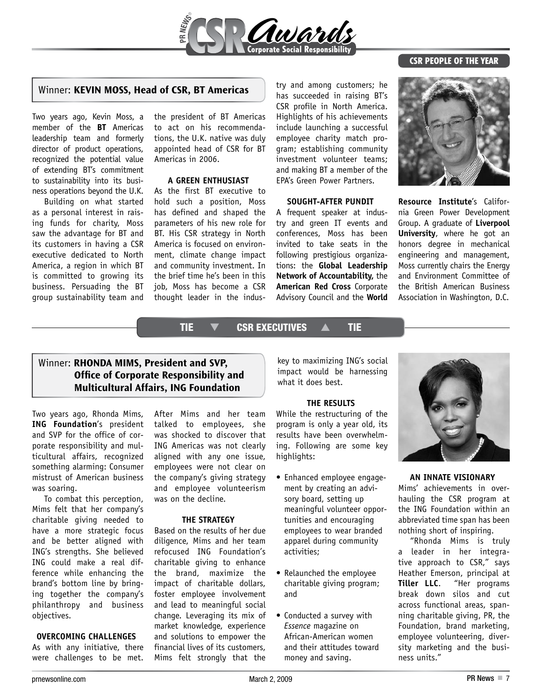

### CSR PEOPLE OF THE YEAR

## Winner: **KEVIN MOSS, Head of CSR, BT Americas**

Two years ago, Kevin Moss, a member of the **BT** Americas leadership team and formerly director of product operations, recognized the potential value of extending BT's commitment to sustainability into its business operations beyond the U.K.

Building on what started as a personal interest in raising funds for charity, Moss saw the advantage for BT and its customers in having a CSR executive dedicated to North America, a region in which BT is committed to growing its business. Persuading the BT group sustainability team and the president of BT Americas to act on his recommendations, the U.K. native was duly appointed head of CSR for BT Americas in 2006.

### **A GREEN ENTHUSIAST**

As the first BT executive to hold such a position, Moss has defined and shaped the parameters of his new role for BT. His CSR strategy in North America is focused on environment, climate change impact and community investment. In the brief time he's been in this job, Moss has become a CSR thought leader in the industry and among customers; he has succeeded in raising BT's CSR profile in North America. Highlights of his achievements include launching a successful employee charity match program; establishing community investment volunteer teams; and making BT a member of the EPA's Green Power Partners.

### **SOUGHT-AFTER PUNDIT**

A frequent speaker at industry and green IT events and conferences, Moss has been invited to take seats in the following prestigious organizations: the **Global Leadership Network of Accountability,** the **American Red Cross** Corporate Advisory Council and the **World** 



**Resource Institute**'s California Green Power Development Group. A graduate of **Liverpool University**, where he got an honors degree in mechanical engineering and management, Moss currently chairs the Energy and Environment Committee of the British American Business Association in Washington, D.C.

# TIE ▼ CSR EXECUTIVES ▲ TIE

# Winner: **RHONDA MIMS, President and SVP, Office of Corporate Responsibility and Multicultural Affairs, ING Foundation**

Two years ago, Rhonda Mims, **ING Foundation**'s president and SVP for the office of corporate responsibility and multicultural affairs, recognized something alarming: Consumer mistrust of American business was soaring.

To combat this perception, Mims felt that her company's charitable giving needed to have a more strategic focus and be better aligned with ING's strengths. She believed ING could make a real difference while enhancing the brand's bottom line by bringing together the company's philanthropy and business objectives.

# **OVERCOMING CHALLENGES**

As with any initiative, there were challenges to be met. After Mims and her team talked to employees, she was shocked to discover that ING Americas was not clearly aligned with any one issue, employees were not clear on the company's giving strategy and employee volunteerism was on the decline.

### **THE STRATEGY**

Based on the results of her due diligence, Mims and her team refocused ING Foundation's charitable giving to enhance the brand, maximize the impact of charitable dollars, foster employee involvement and lead to meaningful social change. Leveraging its mix of market knowledge, experience and solutions to empower the financial lives of its customers, Mims felt strongly that the

key to maximizing ING's social impact would be harnessing what it does best.

### **THE RESULTS**

While the restructuring of the program is only a year old, its results have been overwhelming. Following are some key highlights:

- • Enhanced employee engagement by creating an advisory board, setting up meaningful volunteer opportunities and encouraging employees to wear branded apparel during community activities;
- Relaunched the employee charitable giving program; and
- Conducted a survey with *Essence* magazine on African-American women and their attitudes toward money and saving.



**AN INNATE VISIONARY**

Mims' achievements in overhauling the CSR program at the ING Foundation within an abbreviated time span has been nothing short of inspiring.

"Rhonda Mims is truly a leader in her integrative approach to CSR," says Heather Emerson, principal at **Tiller LLC**. "Her programs break down silos and cut across functional areas, spanning charitable giving, PR, the Foundation, brand marketing, employee volunteering, diversity marketing and the business units."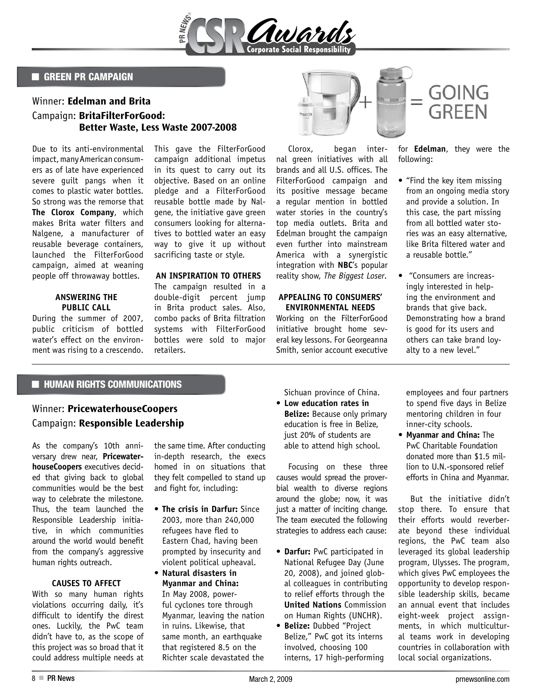

# **B** GREEN PR CAMPAIGN

# Winner: **Edelman and Brita** Campaign: **BritaFilterForGood: Better Waste, Less Waste 2007-2008**

Due to its anti-environmental impact, many American consumers as of late have experienced severe guilt pangs when it comes to plastic water bottles. So strong was the remorse that **The Clorox Company**, which makes Brita water filters and Nalgene, a manufacturer of reusable beverage containers, launched the FilterForGood campaign, aimed at weaning people off throwaway bottles.

This gave the FilterForGood campaign additional impetus in its quest to carry out its objective. Based on an online pledge and a FilterForGood reusable bottle made by Nalgene, the initiative gave green consumers looking for alternatives to bottled water an easy way to give it up without sacrificing taste or style.

### **AN INSPIRATION TO OTHERS**

### **ANSWERING THE PUBLIC CALL**

During the summer of 2007, public criticism of bottled water's effect on the environment was rising to a crescendo.

The campaign resulted in a double-digit percent jump in Brita product sales. Also, combo packs of Brita filtration systems with FilterForGood bottles were sold to major retailers.



Clorox, began internal green initiatives with all brands and all U.S. offices. The FilterForGood campaign and its positive message became a regular mention in bottled water stories in the country's top media outlets. Brita and Edelman brought the campaign even further into mainstream America with a synergistic integration with **NBC**'s popular reality show, *The Biggest Loser*.

### **APPEALING TO CONSUMERS' ENVIRONMENTAL NEEDS**

Working on the FilterForGood initiative brought home several key lessons. For Georgeanna Smith, senior account executive



for **Edelman**, they were the following:

- "Find the key item missing from an ongoing media story and provide a solution. In this case, the part missing from all bottled water stories was an easy alternative, like Brita filtered water and a reusable bottle."
- • "Consumers are increasingly interested in helping the environment and brands that give back. Demonstrating how a brand is good for its users and others can take brand loyalty to a new level."

### ■ HUMAN RIGHTS COMMUNICATIONS

# Winner: **PricewaterhouseCoopers** Campaign: **Responsible Leadership**

As the company's 10th anniversary drew near, **PricewaterhouseCoopers** executives decided that giving back to global communities would be the best way to celebrate the milestone. Thus, the team launched the Responsible Leadership initiative, in which communities around the world would benefit from the company's aggressive human rights outreach.

### **CAUSES TO AFFECT**

With so many human rights violations occurring daily, it's difficult to identify the direst ones. Luckily, the PwC team didn't have to, as the scope of this project was so broad that it could address multiple needs at

the same time. After conducting in-depth research, the execs homed in on situations that they felt compelled to stand up and fight for, including:

• **The crisis in Darfur:** Since 2003, more than 240,000 refugees have fled to Eastern Chad, having been prompted by insecurity and violent political upheaval.

• **Natural disasters in Myanmar and China:** In May 2008, powerful cyclones tore through Myanmar, leaving the nation in ruins. Likewise, that same month, an earthquake that registered 8.5 on the Richter scale devastated the

Sichuan province of China.

• **Low education rates in Belize:** Because only primary education is free in Belize, just 20% of students are able to attend high school.

Focusing on these three causes would spread the proverbial wealth to diverse regions around the globe; now, it was just a matter of inciting change. The team executed the following strategies to address each cause:

- • **Darfur:** PwC participated in National Refugee Day (June 20, 2008), and joined global colleagues in contributing to relief efforts through the **United Nations** Commission on Human Rights (UNCHR).
- • **Belize:** Dubbed "Project Belize," PwC got its interns involved, choosing 100 interns, 17 high-performing

employees and four partners to spend five days in Belize mentoring children in four inner-city schools.

• **Myanmar and China:** The PwC Charitable Foundation donated more than \$1.5 million to U.N.-sponsored relief efforts in China and Myanmar.

But the initiative didn't stop there. To ensure that their efforts would reverberate beyond these individual regions, the PwC team also leveraged its global leadership program, Ulysses. The program, which gives PwC employees the opportunity to develop responsible leadership skills, became an annual event that includes eight-week project assignments, in which multicultural teams work in developing countries in collaboration with local social organizations.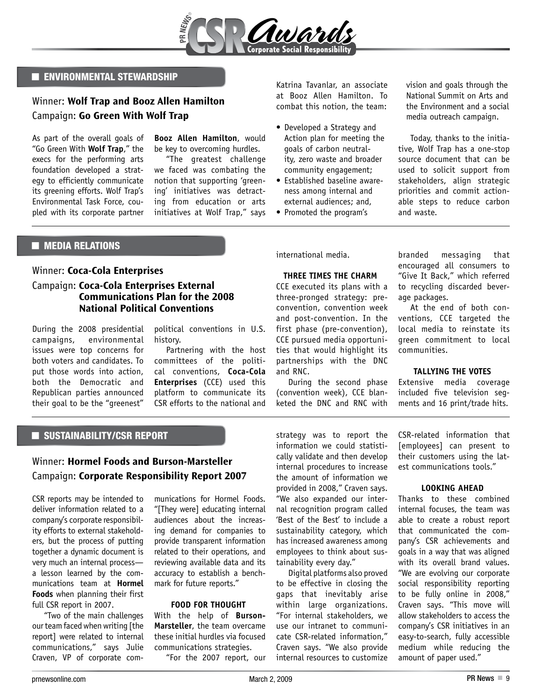

### ■ ENVIRONMENTAL STEWARDSHIP

# Winner: **Wolf Trap and Booz Allen Hamilton** Campaign: **Go Green With Wolf Trap**

As part of the overall goals of "Go Green With **Wolf Trap**," the execs for the performing arts foundation developed a strategy to efficiently communicate its greening efforts. Wolf Trap's Environmental Task Force, coupled with its corporate partner

**Booz Allen Hamilton**, would be key to overcoming hurdles.

"The greatest challenge we faced was combating the notion that supporting 'greening' initiatives was detracting from education or arts initiatives at Wolf Trap," says Katrina Tavanlar, an associate at Booz Allen Hamilton. To combat this notion, the team:

- Developed a Strategy and Action plan for meeting the goals of carbon neutrality, zero waste and broader community engagement;
- • Established baseline awareness among internal and external audiences; and,
- Promoted the program's

vision and goals through the National Summit on Arts and the Environment and a social media outreach campaign.

Today, thanks to the initiative, Wolf Trap has a one-stop source document that can be used to solicit support from stakeholders, align strategic priorities and commit actionable steps to reduce carbon and waste.

# ■ MEDIA RELATIONS

### Winner: **Coca-Cola Enterprises**

# Campaign: **Coca-Cola Enterprises External Communications Plan for the 2008 National Political Conventions**

During the 2008 presidential campaigns, environmental issues were top concerns for both voters and candidates. To put those words into action, both the Democratic and Republican parties announced their goal to be the "greenest"

political conventions in U.S. history.

Partnering with the host committees of the political conventions, **Coca-Cola Enterprises** (CCE) used this platform to communicate its CSR efforts to the national and

international media.

### **THREE TIMES THE CHARM**

CCE executed its plans with a three-pronged strategy: preconvention, convention week and post-convention. In the first phase (pre-convention), CCE pursued media opportunities that would highlight its partnerships with the DNC and RNC.

During the second phase (convention week), CCE blanketed the DNC and RNC with

branded messaging that encouraged all consumers to "Give It Back," which referred to recycling discarded beverage packages.

At the end of both conventions, CCE targeted the local media to reinstate its green commitment to local communities.

### **TALLYING THE VOTES**

Extensive media coverage included five television segments and 16 print/trade hits.

## ■ SUSTAINABILITY/CSR REPORT

# Winner: **Hormel Foods and Burson-Marsteller** Campaign: **Corporate Responsibility Report 2007**

CSR reports may be intended to deliver information related to a company's corporate responsibility efforts to external stakeholders, but the process of putting together a dynamic document is very much an internal process a lesson learned by the communications team at **Hormel Foods** when planning their first full CSR report in 2007.

"Two of the main challenges our team faced when writing [the report] were related to internal communications," says Julie Craven, VP of corporate com-

munications for Hormel Foods. "[They were] educating internal audiences about the increasing demand for companies to provide transparent information related to their operations, and reviewing available data and its accuracy to establish a benchmark for future reports."

### **FOOD FOR THOUGHT**

With the help of **Burson-Marsteller**, the team overcame these initial hurdles via focused communications strategies.

"For the 2007 report, our

strategy was to report the information we could statistically validate and then develop internal procedures to increase the amount of information we provided in 2008," Craven says. "We also expanded our internal recognition program called 'Best of the Best' to include a sustainability category, which has increased awareness among employees to think about sustainability every day."

Digital platforms also proved to be effective in closing the gaps that inevitably arise within large organizations. "For internal stakeholders, we use our intranet to communicate CSR-related information," Craven says. "We also provide internal resources to customize CSR-related information that [employees] can present to their customers using the latest communications tools."

### **LOOKING AHEAD**

Thanks to these combined internal focuses, the team was able to create a robust report that communicated the company's CSR achievements and goals in a way that was aligned with its overall brand values. "We are evolving our corporate social responsibility reporting to be fully online in 2008," Craven says. "This move will allow stakeholders to access the company's CSR initiatives in an easy-to-search, fully accessible medium while reducing the amount of paper used."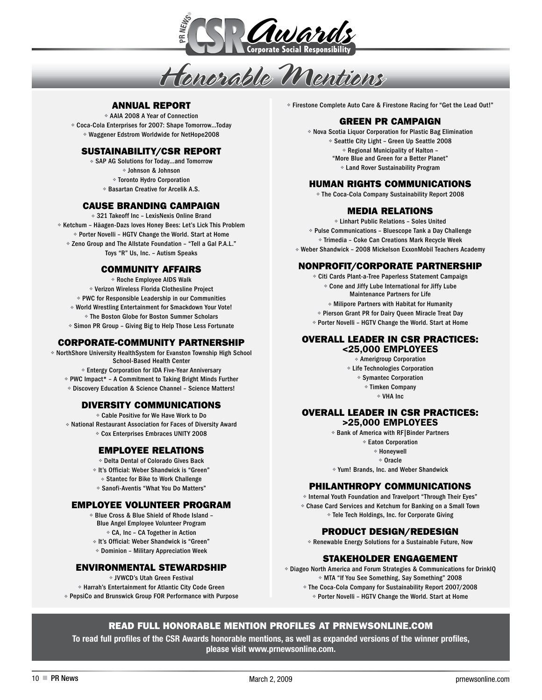

*Honorable Mentions*

### ANNUAL REPORT

❖ AAIA 2008 A Year of Connection ❖ Coca-Cola Enterprises for 2007: Shape Tomorrow…Today ❖ Waggener Edstrom Worldwide for NetHope2008

### SUSTAINABILITY/CSR REPORT

❖ SAP AG Solutions for Today…and Tomorrow ❖ Johnson & Johnson ❖ Toronto Hydro Corporation ❖ Basartan Creative for Arcelik A.S.

### CAUSE BRANDING CAMPAIGN

❖ 321 Takeoff Inc – LexisNexis Online Brand ❖ Ketchum – Häagen-Dazs loves Honey Bees: Let's Lick This Problem ❖ Porter Novelli – HGTV Change the World. Start at Home ❖ Zeno Group and The Allstate Foundation – "Tell a Gal P.A.L." Toys "R" Us, Inc. – Autism Speaks

### COMMUNITY AFFAIRS

❖ Roche Employee AIDS Walk ❖ Verizon Wireless Florida Clothesline Project ❖ PWC for Responsible Leadership in our Communities ❖ World Wrestling Entertainment for Smackdown Your Vote! ❖ The Boston Globe for Boston Summer Scholars ❖ Simon PR Group – Giving Big to Help Those Less Fortunate

### CORPORATE-COMMUNITY PARTNERSHIP

❖ NorthShore University HealthSystem for Evanston Township High School School-Based Health Center ❖ Entergy Corporation for IDA Five-Year Anniversary ❖ PWC Impact\* – A Commitment to Taking Bright Minds Further ❖ Discovery Education & Science Channel – Science Matters!

### DIVERSITY COMMUNICATIONS

❖ Cable Positive for We Have Work to Do ❖ National Restaurant Association for Faces of Diversity Award ❖ Cox Enterprises Embraces UNITY 2008

### EMPLOYEE RELATIONS

❖ Delta Dental of Colorado Gives Back

- ❖ It's Official: Weber Shandwick is "Green" ❖ Stantec for Bike to Work Challenge
- ❖ Sanofi-Aventis "What You Do Matters"

### EMPLOYEE VOLUNTEER PROGRAM

- ❖ Blue Cross & Blue Shield of Rhode Island
	- Blue Angel Employee Volunteer Program ❖ CA, Inc – CA Together in Action
- ❖ It's Official: Weber Shandwick is "Green"
- ❖ Dominion Military Appreciation Week

### ENVIRONMENTAL STEWARDSHIP

❖ JVWCD's Utah Green Festival

❖ Harrah's Entertainment for Atlantic City Code Green ❖ PepsiCo and Brunswick Group FOR Performance with Purpose ❖ Firestone Complete Auto Care & Firestone Racing for "Get the Lead Out!"

### GREEN PR CAMPAIGN

❖ Nova Scotia Liquor Corporation for Plastic Bag Elimination ❖ Seattle City Light – Green Up Seattle 2008 ❖ Regional Municipality of Halton – "More Blue and Green for a Better Planet" ❖ Land Rover Sustainability Program

### HUMAN RIGHTS COMMUNICATIONS

❖ The Coca-Cola Company Sustainability Report 2008

### MEDIA RELATIONS

❖ Linhart Public Relations – Soles United ❖ Pulse Communications – Bluescope Tank a Day Challenge ❖ Trimedia – Coke Can Creations Mark Recycle Week ❖ Weber Shandwick – 2008 Mickelson ExxonMobil Teachers Academy

### NONPROFIT/CORPORATE PARTNERSHIP

❖ Citi Cards Plant-a-Tree Paperless Statement Campaign ❖ Cone and Jiffy Lube International for Jiffy Lube Maintenance Partners for Life ❖ Milipore Partners with Habitat for Humanity

- ❖ Pierson Grant PR for Dairy Queen Miracle Treat Day
- ❖ Porter Novelli HGTV Change the World. Start at Home

### OVERALL LEADER IN CSR PRACTICES: <25,000 EMPLOYEES

- ❖ Amerigroup Corporation ❖ Life Technologies Corporation ❖ Symantec Corporation
	- ❖ Timken Company
		- ❖ VHA Inc

### OVERALL LEADER IN CSR PRACTICES: >25,000 EMPLOYEES

❖ Bank of America with RF|Binder Partners

- ❖ Eaton Corporation
	- ❖ Honeywell
	- ❖ Oracle
- ❖ Yum! Brands, Inc. and Weber Shandwick

### PHILANTHROPY COMMUNICATIONS

❖ Internal Youth Foundation and Travelport "Through Their Eyes" ❖ Chase Card Services and Ketchum for Banking on a Small Town

❖ Tele Tech Holdings, Inc. for Corporate Giving

### PRODUCT DESIGN/REDESIGN

❖ Renewable Energy Solutions for a Sustainable Future, Now

### STAKEHOLDER ENGAGEMENT

❖ Diageo North America and Forum Strategies & Communications for DrinkIQ ❖ MTA "If You See Something, Say Something" 2008 ❖ The Coca-Cola Company for Sustainability Report 2007/2008 ❖ Porter Novelli – HGTV Change the World. Start at Home

### READ FULL HONORABLE MENTION PROFILES AT [PRNEWSONLINE.COM](WWW.PRNEWSONLINE.COM)

To read full profiles of the CSR Awards honorable mentions, as well as expanded versions of the winner profiles, please visit <www.prnewsonline.com>.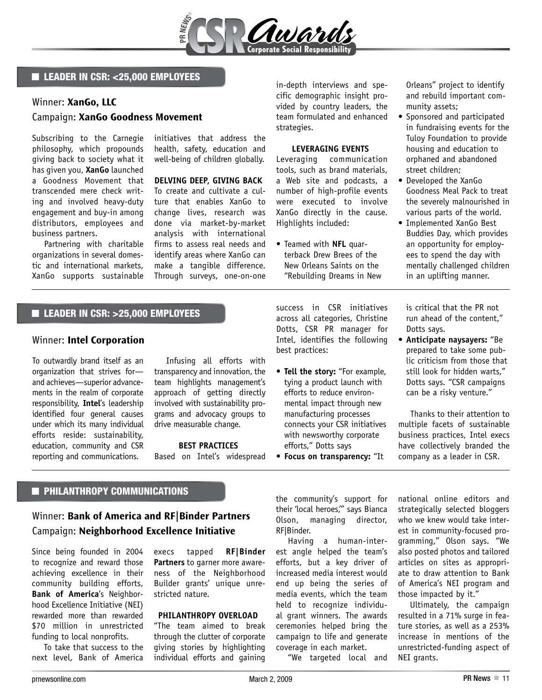

# ■ LEADER IN CSR: <25,000 EMPLOYEES

### Winner: **XanGo, LLC**

### Campaign: **XanGo Goodness Movement**

Subscribing to the Carnegie philosophy, which propounds giving back to society what it has given you, **XanGo** launched a Goodness Movement that transcended mere check writing and involved heavy-duty engagement and buy-in among distributors, employees and business partners.

Partnering with charitable organizations in several domestic and international markets, XanGo supports sustainable initiatives that address the health, safety, education and well-being of children globally.

**DELVING DEEP, GIVING BACK** To create and cultivate a culture that enables XanGo to change lives, research was done via market-by-market analysis with international firms to assess real needs and identify areas where XanGo can make a tangible difference. Through surveys, one-on-one in-depth interviews and specific demographic insight provided by country leaders, the team formulated and enhanced strategies.

### **LEVERAGING EVENTS**

Leveraging communication tools, such as brand materials, a Web site and podcasts, a number of high-profile events were executed to involve XanGo directly in the cause. Highlights included:

• Teamed with **NFL** quarterback Drew Brees of the New Orleans Saints on the "Rebuilding Dreams in New Orleans" project to identify and rebuild important community assets;

- • Sponsored and participated in fundraising events for the Tuloy Foundation to provide housing and education to orphaned and abandoned street children;
- • Developed the XanGo Goodness Meal Pack to treat the severely malnourished in various parts of the world.
- Implemented XanGo Best Buddies Day, which provides an opportunity for employees to spend the day with mentally challenged children in an uplifting manner.

## **Example 25,000 EMPLOYEES**

### Winner: **Intel Corporation**

To outwardly brand itself as an organization that strives for and achieves—superior advancements in the realm of corporate responsibility, **Intel**'s leadership identified four general causes under which its many individual efforts reside: sustainability, education, community and CSR reporting and communications.

Infusing all efforts with transparency and innovation, the team highlights management's approach of getting directly involved with sustainability programs and advocacy groups to drive measurable change.

### **BEST PRACTICES**

Based on Intel's widespread

success in CSR initiatives across all categories, Christine Dotts, CSR PR manager for Intel, identifies the following best practices:

• **Tell the story:** "For example, tying a product launch with efforts to reduce environmental impact through new manufacturing processes connects your CSR initiatives with newsworthy corporate efforts," Dotts says

• **Focus on transparency:** "It

is critical that the PR not run ahead of the content," Dotts says.

• **Anticipate naysayers:** "Be prepared to take some public criticism from those that still look for hidden warts," Dotts says. "CSR campaigns can be a risky venture."

Thanks to their attention to multiple facets of sustainable business practices, Intel execs have collectively branded the company as a leader in CSR.

### **E** PHILANTHROPY COMMUNICATIONS

# Winner: **Bank of America and RF|Binder Partners** Campaign: **Neighborhood Excellence Initiative**

Since being founded in 2004 to recognize and reward those achieving excellence in their community building efforts, **Bank of America**'s Neighborhood Excellence Initiative (NEI) rewarded more than rewarded \$70 million in unrestricted funding to local nonprofits.

To take that success to the next level, Bank of America execs tapped **RF|Binder Partners** to garner more awareness of the Neighborhood Builder grants' unique unrestricted nature.

### **PHILANTHROPY OVERLOAD**

"The team aimed to break through the clutter of corporate giving stories by highlighting individual efforts and gaining

the community's support for their 'local heroes,'" says Bianca Olson, managing director, RF|Binder.

Having a human-interest angle helped the team's efforts, but a key driver of increased media interest would end up being the series of media events, which the team held to recognize individual grant winners. The awards ceremonies helped bring the campaign to life and generate coverage in each market.

"We targeted local and

national online editors and strategically selected bloggers who we knew would take interest in community-focused programming," Olson says. "We also posted photos and tailored articles on sites as appropriate to draw attention to Bank of America's NEI program and those impacted by it."

Ultimately, the campaign resulted in a 71% surge in feature stories, as well as a 253% increase in mentions of the unrestricted-funding aspect of NEI grants.